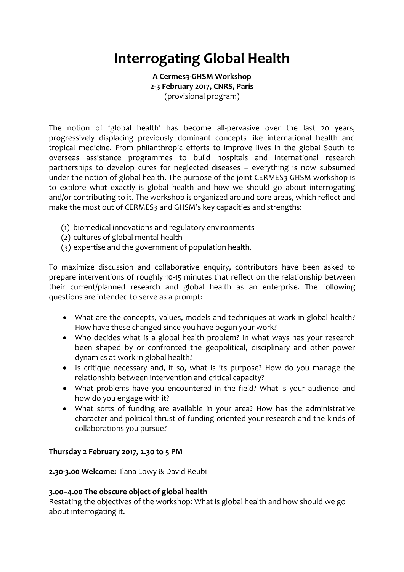# **Interrogating Global Health**

**A Cermes3-GHSM Workshop 2-3 February 2017, CNRS, Paris** (provisional program)

The notion of 'global health' has become all-pervasive over the last 20 years, progressively displacing previously dominant concepts like international health and tropical medicine. From philanthropic efforts to improve lives in the global South to overseas assistance programmes to build hospitals and international research partnerships to develop cures for neglected diseases – everything is now subsumed under the notion of global health. The purpose of the joint CERMES3-GHSM workshop is to explore what exactly is global health and how we should go about interrogating and/or contributing to it. The workshop is organized around core areas, which reflect and make the most out of CERMES3 and GHSM's key capacities and strengths:

- (1) biomedical innovations and regulatory environments
- (2) cultures of global mental health
- (3) expertise and the government of population health.

To maximize discussion and collaborative enquiry, contributors have been asked to prepare interventions of roughly 10-15 minutes that reflect on the relationship between their current/planned research and global health as an enterprise. The following questions are intended to serve as a prompt:

- What are the concepts, values, models and techniques at work in global health? How have these changed since you have begun your work?
- Who decides what is a global health problem? In what ways has your research been shaped by or confronted the geopolitical, disciplinary and other power dynamics at work in global health?
- Is critique necessary and, if so, what is its purpose? How do you manage the relationship between intervention and critical capacity?
- What problems have you encountered in the field? What is your audience and how do you engage with it?
- What sorts of funding are available in your area? How has the administrative character and political thrust of funding oriented your research and the kinds of collaborations you pursue?

# **Thursday 2 February 2017, 2.30 to 5 PM**

**2.30-3.00 Welcome:** Ilana Lowy & David Reubi

### **3.00–4.00 The obscure object of global health**

Restating the objectives of the workshop: What is global health and how should we go about interrogating it.